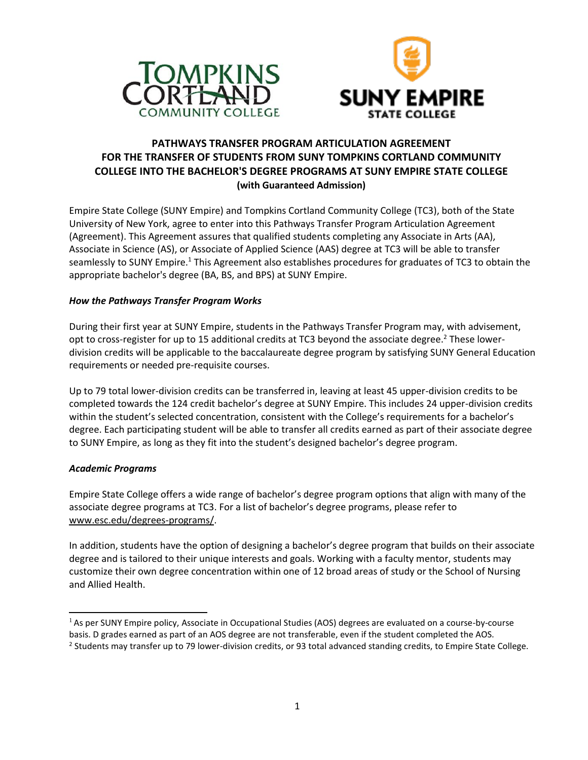



# **PATHWAYS TRANSFER PROGRAM ARTICULATION AGREEMENT FOR THE TRANSFER OF STUDENTS FROM SUNY TOMPKINS CORTLAND COMMUNITY COLLEGE INTO THE BACHELOR'S DEGREE PROGRAMS AT SUNY EMPIRE STATE COLLEGE (with Guaranteed Admission)**

Empire State College (SUNY Empire) and Tompkins Cortland Community College (TC3), both of the State University of New York, agree to enter into this Pathways Transfer Program Articulation Agreement (Agreement). This Agreement assures that qualified students completing any Associate in Arts (AA), Associate in Science (AS), or Associate of Applied Science (AAS) degree at TC3 will be able to transfer seamlessly to SUNY Empire.<sup>1</sup> This Agreement also establishes procedures for graduates of TC3 to obtain the appropriate bachelor's degree (BA, BS, and BPS) at SUNY Empire.

## *How the Pathways Transfer Program Works*

During their first year at SUNY Empire, students in the Pathways Transfer Program may, with advisement, opt to cross-register for up to 15 additional credits at TC3 beyond the associate degree.<sup>2</sup> These lowerdivision credits will be applicable to the baccalaureate degree program by satisfying SUNY General Education requirements or needed pre-requisite courses.

Up to 79 total lower-division credits can be transferred in, leaving at least 45 upper-division credits to be completed towards the 124 credit bachelor's degree at SUNY Empire. This includes 24 upper-division credits within the student's selected concentration, consistent with the College's requirements for a bachelor's degree. Each participating student will be able to transfer all credits earned as part of their associate degree to SUNY Empire, as long as they fit into the student's designed bachelor's degree program.

## *Academic Programs*

Empire State College offers a wide range of bachelor's degree program options that align with many of the associate degree programs at TC3. For a list of bachelor's degree programs, please refer to [www.esc.edu/degrees-programs/.](http://www.esc.edu/degrees-programs/)

In addition, students have the option of designing a bachelor's degree program that builds on their associate degree and is tailored to their unique interests and goals. Working with a faculty mentor, students may customize their own degree concentration within one of 12 broad areas of study or the School of Nursing and Allied Health.

<sup>&</sup>lt;sup>1</sup> As per SUNY Empire policy, Associate in Occupational Studies (AOS) degrees are evaluated on a course-by-course basis. D grades earned as part of an AOS degree are not transferable, even if the student completed the AOS.  $^2$  Students may transfer up to 79 lower-division credits, or 93 total advanced standing credits, to Empire State College.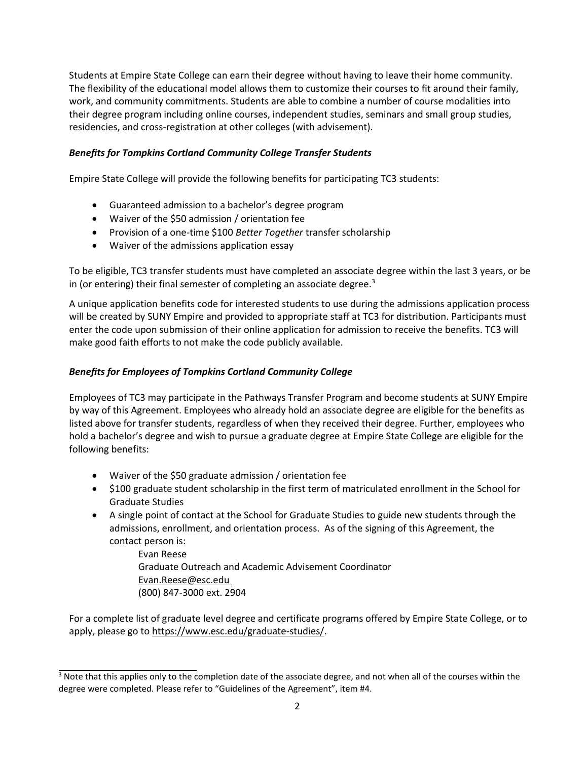Students at Empire State College can earn their degree without having to leave their home community. The flexibility of the educational model allows them to customize their courses to fit around their family, work, and community commitments. Students are able to combine a number of course modalities into their degree program including online courses, independent studies, seminars and small group studies, residencies, and cross-registration at other colleges (with advisement).

# *Benefits for Tompkins Cortland Community College Transfer Students*

Empire State College will provide the following benefits for participating TC3 students:

- Guaranteed admission to a bachelor's degree program
- Waiver of the \$50 admission / orientation fee
- Provision of a one-time \$100 *Better Together* transfer scholarship
- Waiver of the admissions application essay

To be eligible, TC3 transfer students must have completed an associate degree within the last 3 years, or be in (or entering) their final semester of completing an associate degree. $3$ 

A unique application benefits code for interested students to use during the admissions application process will be created by SUNY Empire and provided to appropriate staff at TC3 for distribution. Participants must enter the code upon submission of their online application for admission to receive the benefits. TC3 will make good faith efforts to not make the code publicly available.

# *Benefits for Employees of Tompkins Cortland Community College*

Employees of TC3 may participate in the Pathways Transfer Program and become students at SUNY Empire by way of this Agreement. Employees who already hold an associate degree are eligible for the benefits as listed above for transfer students, regardless of when they received their degree. Further, employees who hold a bachelor's degree and wish to pursue a graduate degree at Empire State College are eligible for the following benefits:

- Waiver of the \$50 graduate admission / orientation fee
- \$100 graduate student scholarship in the first term of matriculated enrollment in the School for Graduate Studies
- A single point of contact at the School for Graduate Studies to guide new students through the admissions, enrollment, and orientation process. As of the signing of this Agreement, the contact person is:

Evan Reese Graduate Outreach and Academic Advisement Coordinator Evan.Reese@esc.edu (800) 847-3000 ext. 2904

For a complete list of graduate level degree and certificate programs offered by Empire State College, or to apply, please go to https:/[/www.esc.edu/graduate-studies/.](http://www.esc.edu/graduate-studies/)

 $3$  Note that this applies only to the completion date of the associate degree, and not when all of the courses within the degree were completed. Please refer to "Guidelines of the Agreement", item #4.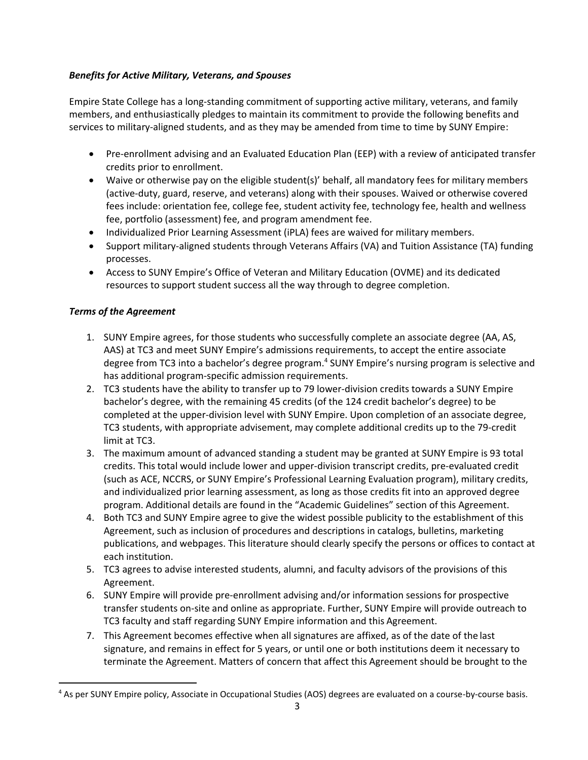# *Benefits for Active Military, Veterans, and Spouses*

Empire State College has a long-standing commitment of supporting active military, veterans, and family members, and enthusiastically pledges to maintain its commitment to provide the following benefits and services to military-aligned students, and as they may be amended from time to time by SUNY Empire:

- Pre-enrollment advising and an Evaluated Education Plan (EEP) with a review of anticipated transfer credits prior to enrollment.
- Waive or otherwise pay on the eligible student(s)' behalf, all mandatory fees for military members (active-duty, guard, reserve, and veterans) along with their spouses. Waived or otherwise covered fees include: orientation fee, college fee, student activity fee, technology fee, health and wellness fee, portfolio (assessment) fee, and program amendment fee.
- Individualized Prior Learning Assessment (iPLA) fees are waived for military members.
- Support military-aligned students through Veterans Affairs (VA) and Tuition Assistance (TA) funding processes.
- Access to SUNY Empire's Office of Veteran and Military Education (OVME) and its dedicated resources to support student success all the way through to degree completion.

# *Terms of the Agreement*

- 1. SUNY Empire agrees, for those students who successfully complete an associate degree (AA, AS, AAS) at TC3 and meet SUNY Empire's admissions requirements, to accept the entire associate degree from TC3 into a bachelor's degree program.<sup>4</sup> SUNY Empire's nursing program is selective and has additional program-specific admission requirements.
- 2. TC3 students have the ability to transfer up to 79 lower-division credits towards a SUNY Empire bachelor's degree, with the remaining 45 credits (of the 124 credit bachelor's degree) to be completed at the upper-division level with SUNY Empire. Upon completion of an associate degree, TC3 students, with appropriate advisement, may complete additional credits up to the 79-credit limit at TC3.
- 3. The maximum amount of advanced standing a student may be granted at SUNY Empire is 93 total credits. This total would include lower and upper-division transcript credits, pre-evaluated credit (such as ACE, NCCRS, or SUNY Empire's Professional Learning Evaluation program), military credits, and individualized prior learning assessment, as long as those credits fit into an approved degree program. Additional details are found in the "Academic Guidelines" section of this Agreement.
- 4. Both TC3 and SUNY Empire agree to give the widest possible publicity to the establishment of this Agreement, such as inclusion of procedures and descriptions in catalogs, bulletins, marketing publications, and webpages. This literature should clearly specify the persons or offices to contact at each institution.
- 5. TC3 agrees to advise interested students, alumni, and faculty advisors of the provisions of this Agreement.
- 6. SUNY Empire will provide pre-enrollment advising and/or information sessions for prospective transfer students on-site and online as appropriate. Further, SUNY Empire will provide outreach to TC3 faculty and staff regarding SUNY Empire information and this Agreement.
- 7. This Agreement becomes effective when all signatures are affixed, as of the date of the last signature, and remains in effect for 5 years, or until one or both institutions deem it necessary to terminate the Agreement. Matters of concern that affect this Agreement should be brought to the

<sup>&</sup>lt;sup>4</sup> As per SUNY Empire policy, Associate in Occupational Studies (AOS) degrees are evaluated on a course-by-course basis.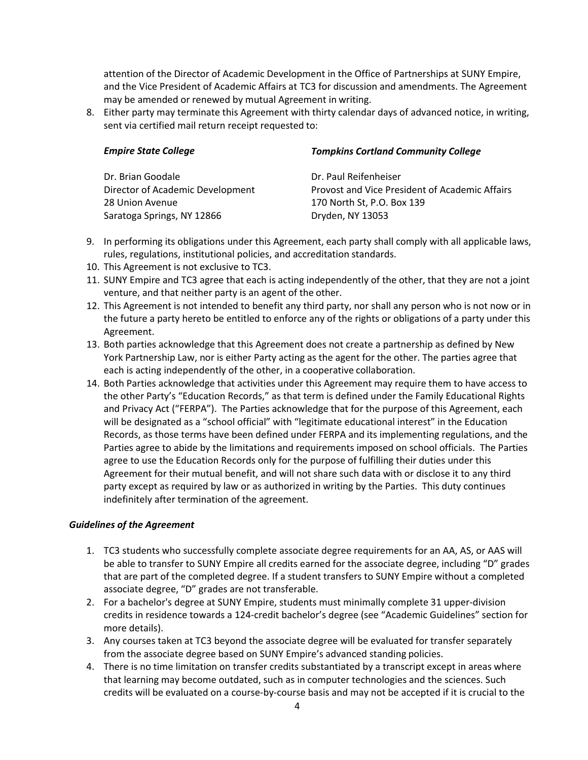attention of the Director of Academic Development in the Office of Partnerships at SUNY Empire, and the Vice President of Academic Affairs at TC3 for discussion and amendments. The Agreement may be amended or renewed by mutual Agreement in writing.

8. Either party may terminate this Agreement with thirty calendar days of advanced notice, in writing, sent via certified mail return receipt requested to:

| <b>Empire State College</b>      | <b>Tompkins Cortland Community College</b>     |  |  |
|----------------------------------|------------------------------------------------|--|--|
| Dr. Brian Goodale                | Dr. Paul Reifenheiser                          |  |  |
| Director of Academic Development | Provost and Vice President of Academic Affairs |  |  |
| 28 Union Avenue                  | 170 North St, P.O. Box 139                     |  |  |
| Saratoga Springs, NY 12866       | Dryden, NY 13053                               |  |  |

- 9. In performing its obligations under this Agreement, each party shall comply with all applicable laws, rules, regulations, institutional policies, and accreditation standards.
- 10. This Agreement is not exclusive to TC3.
- 11. SUNY Empire and TC3 agree that each is acting independently of the other, that they are not a joint venture, and that neither party is an agent of the other.
- 12. This Agreement is not intended to benefit any third party, nor shall any person who is not now or in the future a party hereto be entitled to enforce any of the rights or obligations of a party under this Agreement.
- 13. Both parties acknowledge that this Agreement does not create a partnership as defined by New York Partnership Law, nor is either Party acting as the agent for the other. The parties agree that each is acting independently of the other, in a cooperative collaboration.
- 14. Both Parties acknowledge that activities under this Agreement may require them to have access to the other Party's "Education Records," as that term is defined under the Family Educational Rights and Privacy Act ("FERPA"). The Parties acknowledge that for the purpose of this Agreement, each will be designated as a "school official" with "legitimate educational interest" in the Education Records, as those terms have been defined under FERPA and its implementing regulations, and the Parties agree to abide by the limitations and requirements imposed on school officials. The Parties agree to use the Education Records only for the purpose of fulfilling their duties under this Agreement for their mutual benefit, and will not share such data with or disclose it to any third party except as required by law or as authorized in writing by the Parties. This duty continues indefinitely after termination of the agreement.

## *Guidelines of the Agreement*

- 1. TC3 students who successfully complete associate degree requirements for an AA, AS, or AAS will be able to transfer to SUNY Empire all credits earned for the associate degree, including "D" grades that are part of the completed degree. If a student transfers to SUNY Empire without a completed associate degree, "D" grades are not transferable.
- 2. For a bachelor's degree at SUNY Empire, students must minimally complete 31 upper-division credits in residence towards a 124-credit bachelor's degree (see "Academic Guidelines" section for more details).
- 3. Any courses taken at TC3 beyond the associate degree will be evaluated for transfer separately from the associate degree based on SUNY Empire's advanced standing policies.
- 4. There is no time limitation on transfer credits substantiated by a transcript except in areas where that learning may become outdated, such as in computer technologies and the sciences. Such credits will be evaluated on a course-by-course basis and may not be accepted if it is crucial to the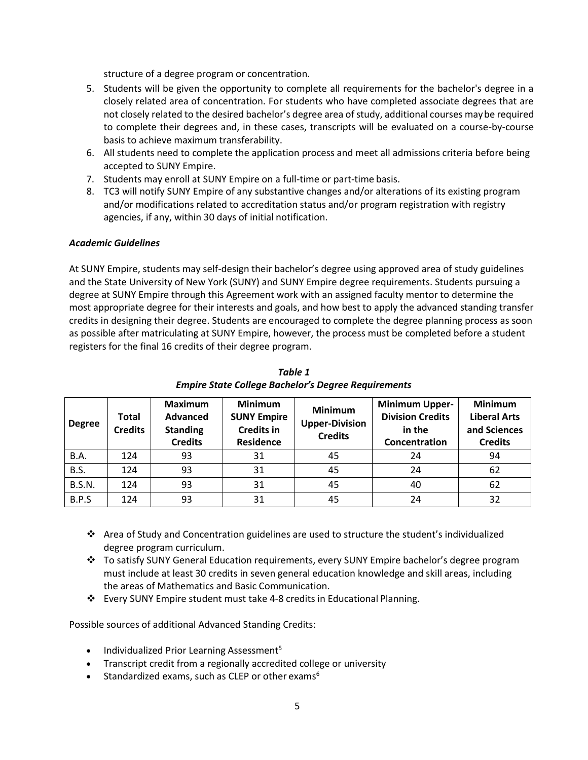structure of a degree program or concentration.

- 5. Students will be given the opportunity to complete all requirements for the bachelor's degree in a closely related area of concentration. For students who have completed associate degrees that are not closely related to the desired bachelor's degree area of study, additional courses maybe required to complete their degrees and, in these cases, transcripts will be evaluated on a course-by-course basis to achieve maximum transferability.
- 6. All students need to complete the application process and meet all admissions criteria before being accepted to SUNY Empire.
- 7. Students may enroll at SUNY Empire on a full-time or part-time basis.
- 8. TC3 will notify SUNY Empire of any substantive changes and/or alterations of its existing program and/or modifications related to accreditation status and/or program registration with registry agencies, if any, within 30 days of initial notification.

## *Academic Guidelines*

At SUNY Empire, students may self-design their bachelor's degree using approved area of study guidelines and the State University of New York (SUNY) and SUNY Empire degree requirements. Students pursuing a degree at SUNY Empire through this Agreement work with an assigned faculty mentor to determine the most appropriate degree for their interests and goals, and how best to apply the advanced standing transfer credits in designing their degree. Students are encouraged to complete the degree planning process as soon as possible after matriculating at SUNY Empire, however, the process must be completed before a student registers for the final 16 credits of their degree program.

| <b>Degree</b> | Total<br><b>Credits</b> | <b>Maximum</b><br>Advanced<br><b>Standing</b><br><b>Credits</b> | <b>Minimum</b><br><b>SUNY Empire</b><br><b>Credits in</b><br><b>Residence</b> | <b>Minimum</b><br><b>Upper-Division</b><br><b>Credits</b> | <b>Minimum Upper-</b><br><b>Division Credits</b><br>in the<br>Concentration | <b>Minimum</b><br><b>Liberal Arts</b><br>and Sciences<br><b>Credits</b> |
|---------------|-------------------------|-----------------------------------------------------------------|-------------------------------------------------------------------------------|-----------------------------------------------------------|-----------------------------------------------------------------------------|-------------------------------------------------------------------------|
| B.A.          | 124                     | 93                                                              | 31                                                                            | 45                                                        | 24                                                                          | 94                                                                      |
| B.S.          | 124                     | 93                                                              | 31                                                                            | 45                                                        | 24                                                                          | 62                                                                      |
| <b>B.S.N.</b> | 124                     | 93                                                              | 31                                                                            | 45                                                        | 40                                                                          | 62                                                                      |
| B.P.S         | 124                     | 93                                                              | 31                                                                            | 45                                                        | 24                                                                          | 32                                                                      |

*Table 1 Empire State College Bachelor's Degree Requirements*

- ❖ Area of Study and Concentration guidelines are used to structure the student's individualized degree program curriculum.
- ❖ To satisfy SUNY General Education requirements, every SUNY Empire bachelor's degree program must include at least 30 credits in seven general education knowledge and skill areas, including the areas of Mathematics and Basic Communication.
- ❖ Every SUNY Empire student must take 4-8 credits in Educational Planning.

Possible sources of additional Advanced Standing Credits:

- Individualized Prior Learning Assessment<sup>5</sup>
- Transcript credit from a regionally accredited college or university
- Standardized exams, such as CLEP or other exams $<sup>6</sup>$ </sup>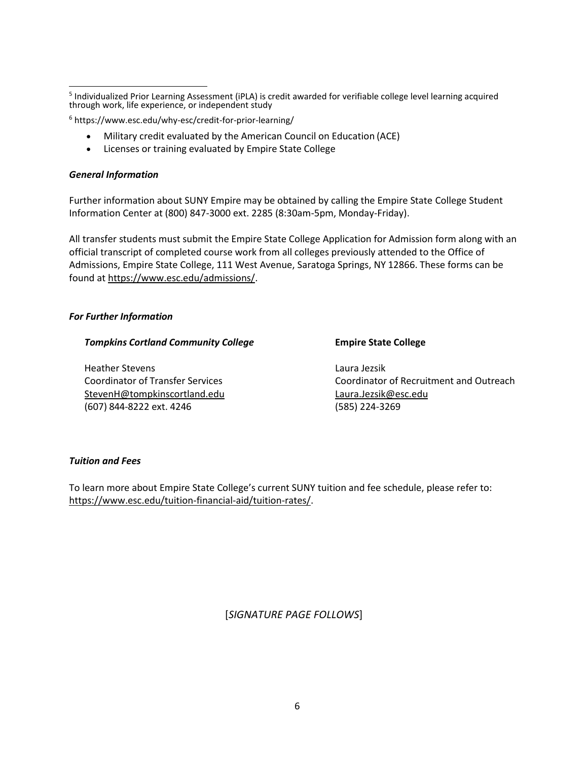<sup>6</sup> https[://www.esc.edu/why-esc/credit-for-prior-learning/](http://www.esc.edu/why-esc/credit-for-prior-learning/) 

- Military credit evaluated by the American Council on Education (ACE)
- Licenses or training evaluated by Empire State College

#### *General Information*

Further information about SUNY Empire may be obtained by calling the Empire State College Student Information Center at (800) 847-3000 ext. 2285 (8:30am-5pm, Monday-Friday).

All transfer students must submit the Empire State College Application for Admission form along with an official transcript of completed course work from all colleges previously attended to the Office of Admissions, Empire State College, 111 West Avenue, Saratoga Springs, NY 12866. These forms can be found at https:/[/www.esc.edu/admissions/.](http://www.esc.edu/admissions/)

#### *For Further Information*

#### *Tompkins Cortland Community College* **Empire State College**

Heather Stevens Laura Jezsik StevenH@tompkinscortland.edu Laura.Jezsik@esc.edu (607) 844-8222 ext. 4246 (585) 224-3269

Coordinator of Transfer Services Coordinator of Recruitment and Outreach

#### *Tuition and Fees*

To learn more about Empire State College's current SUNY tuition and fee schedule, please refer to: https:/[/www.esc.edu/tuition-financial-aid/tuition-rates/.](http://www.esc.edu/tuition-financial-aid/tuition-rates/)

[*SIGNATURE PAGE FOLLOWS*]

<sup>&</sup>lt;sup>5</sup> Individualized Prior Learning Assessment (iPLA) is credit awarded for verifiable college level learning acquired through work, life experience, or independent study